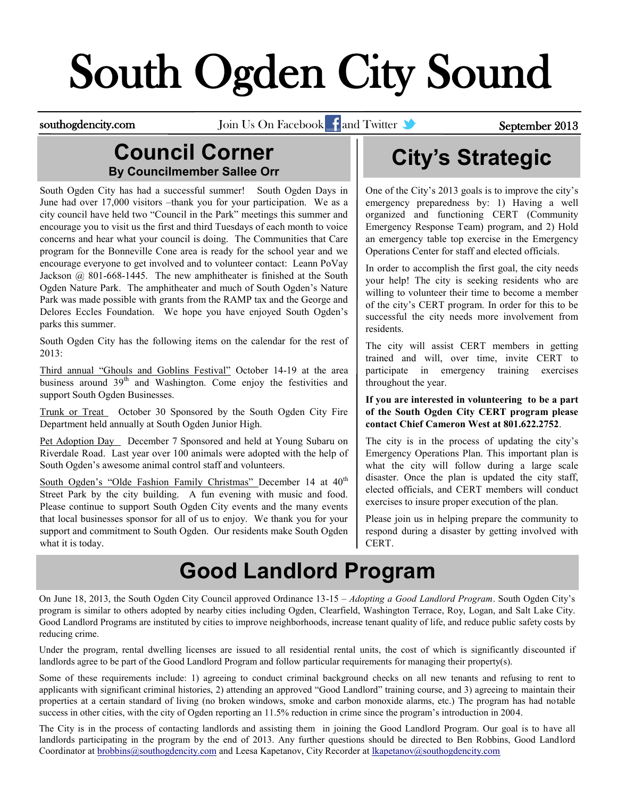# South Ogden City Sound

southogdencity.com Join Us On Facebook and Twitter September 2013

#### **Council Corner By Councilmember Sallee Orr**

South Ogden City has had a successful summer! South Ogden Days in June had over 17,000 visitors –thank you for your participation. We as a city council have held two "Council in the Park" meetings this summer and encourage you to visit us the first and third Tuesdays of each month to voice concerns and hear what your council is doing. The Communities that Care program for the Bonneville Cone area is ready for the school year and we encourage everyone to get involved and to volunteer contact: Leann PoVay Jackson @ 801-668-1445. The new amphitheater is finished at the South Ogden Nature Park. The amphitheater and much of South Ogden's Nature Park was made possible with grants from the RAMP tax and the George and Delores Eccles Foundation. We hope you have enjoyed South Ogden's parks this summer.

South Ogden City has the following items on the calendar for the rest of 2013:

Third annual "Ghouls and Goblins Festival" October 14-19 at the area business around 39<sup>th</sup> and Washington. Come enjoy the festivities and support South Ogden Businesses.

Trunk or Treat October 30 Sponsored by the South Ogden City Fire Department held annually at South Ogden Junior High.

Pet Adoption Day December 7 Sponsored and held at Young Subaru on Riverdale Road. Last year over 100 animals were adopted with the help of South Ogden's awesome animal control staff and volunteers.

South Ogden's "Olde Fashion Family Christmas" December 14 at 40<sup>th</sup> Street Park by the city building. A fun evening with music and food. Please continue to support South Ogden City events and the many events that local businesses sponsor for all of us to enjoy. We thank you for your support and commitment to South Ogden. Our residents make South Ogden what it is today.

# **City's Strategic**

One of the City's 2013 goals is to improve the city's emergency preparedness by: 1) Having a well organized and functioning CERT (Community Emergency Response Team) program, and 2) Hold an emergency table top exercise in the Emergency Operations Center for staff and elected officials.

In order to accomplish the first goal, the city needs your help! The city is seeking residents who are willing to volunteer their time to become a member of the city's CERT program. In order for this to be successful the city needs more involvement from residents.

The city will assist CERT members in getting trained and will, over time, invite CERT to participate in emergency training exercises throughout the year.

#### **If you are interested in volunteering to be a part of the South Ogden City CERT program please contact Chief Cameron West at 801.622.2752**.

The city is in the process of updating the city's Emergency Operations Plan. This important plan is what the city will follow during a large scale disaster. Once the plan is updated the city staff, elected officials, and CERT members will conduct exercises to insure proper execution of the plan.

Please join us in helping prepare the community to respond during a disaster by getting involved with CERT.

### **Good Landlord Program**

On June 18, 2013, the South Ogden City Council approved Ordinance 13-15 – *Adopting a Good Landlord Program*. South Ogden City's program is similar to others adopted by nearby cities including Ogden, Clearfield, Washington Terrace, Roy, Logan, and Salt Lake City. Good Landlord Programs are instituted by cities to improve neighborhoods, increase tenant quality of life, and reduce public safety costs by reducing crime.

Under the program, rental dwelling licenses are issued to all residential rental units, the cost of which is significantly discounted if landlords agree to be part of the Good Landlord Program and follow particular requirements for managing their property(s).

Some of these requirements include: 1) agreeing to conduct criminal background checks on all new tenants and refusing to rent to applicants with significant criminal histories, 2) attending an approved "Good Landlord" training course, and 3) agreeing to maintain their properties at a certain standard of living (no broken windows, smoke and carbon monoxide alarms, etc.) The program has had notable success in other cities, with the city of Ogden reporting an 11.5% reduction in crime since the program's introduction in 2004.

The City is in the process of contacting landlords and assisting them in joining the Good Landlord Program. Our goal is to have all landlords participating in the program by the end of 2013. Any further questions should be directed to Ben Robbins, Good Landlord Coordinator at [brobbins@southogdencity.com](mailto:brobbins@southogdencity.com) and Leesa Kapetanov, City Recorder at [lkapetanov@southogdencity.com](mailto:lkapetanov@southogdencity.com)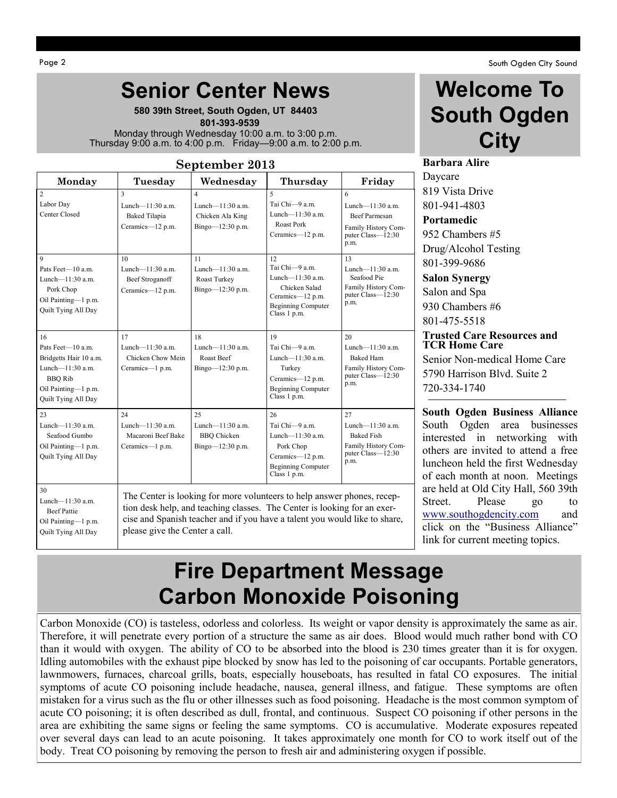**580 39th Street, South Ogden, UT 84403**  **801-393-9539** Monday through Wednesday 10:00 a.m. to 3:00 p.m. Thursday 9:00 a.m. to 4:00 p.m. Friday—9:00 a.m. to 2:00 p.m.

#### **September 2013**

| Monday                                                                                                                                | Tuesday                                                               | Wednesday                                                                              | Thursday                                                                                                                                                                                                                          | Friday                                                                                               |
|---------------------------------------------------------------------------------------------------------------------------------------|-----------------------------------------------------------------------|----------------------------------------------------------------------------------------|-----------------------------------------------------------------------------------------------------------------------------------------------------------------------------------------------------------------------------------|------------------------------------------------------------------------------------------------------|
| $\overline{2}$<br>Labor Day<br>Center Closed                                                                                          | 3<br>Lunch- $-11:30$ a.m.<br><b>Baked Tilapia</b><br>Ceramics-12 p.m. | $\overline{\mathbf{4}}$<br>Lunch- $11:30$ a.m.<br>Chicken Ala King<br>Bingo-12:30 p.m. | $\overline{\phantom{0}}$<br>Tai Chi-9 a.m.<br>Lunch— $11:30$ a.m.<br>Roast Pork<br>Ceramics-12 p.m.                                                                                                                               | 6<br>Lunch- $11:30$ a.m.<br><b>Beef Parmesan</b><br>Family History Com-<br>puter Class-12:30<br>p.m. |
| 9<br>Pats Feet-10 a m<br>Lunch- $11:30$ a.m.<br>Pork Chop<br>Oil Painting-1 p.m.<br>Quilt Tying All Day                               | 10<br>Lunch— $11:30$ a.m.<br>Beef Stroganoff<br>Ceramics-12 p.m.      | 11<br>Lunch— $11:30$ a.m.<br>Roast Turkey<br>Bingo-12:30 p.m.                          | 12<br>Tai Chi-9 a.m.<br>Lunch-11:30 a.m.<br>Chicken Salad<br>Ceramics-12 p.m.<br><b>Beginning Computer</b><br>Class 1 p.m.                                                                                                        | 13<br>Lunch- $11:30$ a.m.<br>Seafood Pie<br>Family History Com-<br>puter $Class - 12:30$<br>p.m.     |
| 16<br>Pats Feet-10 a.m.<br>Bridgetts Hair 10 a.m.<br>Lunch-11:30 a.m.<br><b>BBO</b> Rib<br>Oil Painting-1 p.m.<br>Quilt Tying All Day | 17<br>Lunch- $11:30$ a.m.<br>Chicken Chow Mein<br>Ceramics-1 p.m.     | 18<br>Lunch- $11:30$ a.m.<br>Roast Beef<br>Bingo-12:30 p.m.                            | 19<br>Tai Chi-9 a.m.<br>Lunch-11:30 a.m.<br>Turkey<br>Ceramics-12 p.m.<br><b>Beginning Computer</b><br>Class 1 p.m.                                                                                                               | 20<br>Lunch— $11:30$ a m<br><b>Baked Ham</b><br>Family History Com-<br>puter Class-12:30<br>p.m.     |
| 23<br>Lunch— $11:30$ a.m.<br>Seafood Gumbo<br>Oil Painting-1 p.m.<br>Quilt Tying All Day                                              | 24<br>Lunch— $11:30$ a.m.<br>Macaroni Beef Bake<br>Ceramics-1 p.m.    | 25<br>Lunch— $11:30$ a.m.<br><b>BBO</b> Chicken<br>Bingo-12:30 p.m.                    | 26<br>Tai Chi-9 a.m.<br>Lunch-11:30 a.m.<br>Pork Chop<br>Ceramics-12 p.m.<br><b>Beginning Computer</b><br>Class 1 p.m.                                                                                                            | 27<br>Lunch— $11:30$ a.m.<br><b>Baked Fish</b><br>Family History Com-<br>puter Class-12:30<br>p.m.   |
| 30<br>Lunch— $11:30$ a.m.<br><b>Beef Pattie</b><br>Oil Painting-1 p.m.<br>Quilt Tying All Day                                         | please give the Center a call.                                        |                                                                                        | The Center is looking for more volunteers to help answer phones, recep-<br>tion desk help, and teaching classes. The Center is looking for an exer-<br>cise and Spanish teacher and if you have a talent you would like to share, |                                                                                                      |

Page 2 South Ogden City Sound

#### **Welcome To South Ogden City**

**Barbara Alire** Daycare

819 Vista Drive 801-941-4803 **Portamedic**

952 Chambers #5 Drug/Alcohol Testing 801-399-9686

**Salon Synergy** Salon and Spa 930 Chambers #6 801-475-5518

#### **Trusted Care Resources and TCR Home Care**

Senior Non-medical Home Care 5790 Harrison Blvd. Suite 2 720-334-1740

**South Ogden Business Alliance**  South Ogden area businesses interested in networking with others are invited to attend a free luncheon held the first Wednesday of each month at noon. Meetings are held at Old City Hall, 560 39th Street. Please go to [www.southogdencity.com](http://www.southogdencity.com/) and click on the "Business Alliance" link for current meeting topics.

### **Fire Department Message Carbon Monoxide Poisoning**

Carbon Monoxide (CO) is tasteless, odorless and colorless. Its weight or vapor density is approximately the same as air. Therefore, it will penetrate every portion of a structure the same as air does. Blood would much rather bond with CO than it would with oxygen. The ability of CO to be absorbed into the blood is 230 times greater than it is for oxygen. Idling automobiles with the exhaust pipe blocked by snow has led to the poisoning of car occupants. Portable generators, lawnmowers, furnaces, charcoal grills, boats, especially houseboats, has resulted in fatal CO exposures. The initial symptoms of acute CO poisoning include headache, nausea, general illness, and fatigue. These symptoms are often mistaken for a virus such as the flu or other illnesses such as food poisoning. Headache is the most common symptom of acute CO poisoning; it is often described as dull, frontal, and continuous. Suspect CO poisoning if other persons in the area are exhibiting the same signs or feeling the same symptoms. CO is accumulative. Moderate exposures repeated over several days can lead to an acute poisoning. It takes approximately one month for CO to work itself out of the body. Treat CO poisoning by removing the person to fresh air and administering oxygen if possible.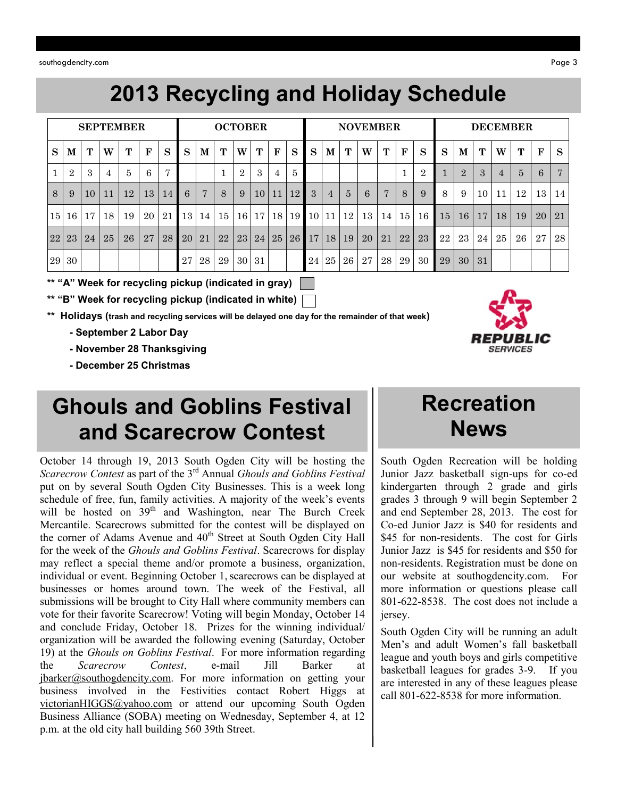southogdencity.com Page 3

# **2013 Recycling and Holiday Schedule**

|    |                |    |    | <b>SEPTEMBER</b> |             |                |    |                | <b>OCTOBER</b> |                            |    |             |                 |    |                 |             |    | <b>NOVEMBER</b> |              |    |    |                 |               |    | <b>DECEMBER</b> |              |                |
|----|----------------|----|----|------------------|-------------|----------------|----|----------------|----------------|----------------------------|----|-------------|-----------------|----|-----------------|-------------|----|-----------------|--------------|----|----|-----------------|---------------|----|-----------------|--------------|----------------|
| S  | M              | T  | W  | т                | $\mathbf F$ | S              | S  | M              | т              | W                          | T  | $\mathbf F$ | S               | S  | M               | $\mathbf T$ | W  | $\mathbf T$     | $\mathbf{F}$ | S  | S  | M               | T             | W  | $\mathbf{T}$    | $\mathbf{F}$ | S              |
|    | $\overline{2}$ | 3  |    | 5                | 6           | $\overline{ }$ |    |                |                | $\Omega$<br>$\overline{ }$ | 3  |             | 5               |    |                 |             |    |                 |              | റ  |    | $\Omega$        | $\mathcal{S}$ | 4  |                 | 6            | $\overline{7}$ |
| 8  | 9              | 10 | 11 | 12               | 13          | 14             | 6  | $\overline{ }$ | 8              | 9                          | 10 | 11          | 12              | 3  | $\overline{4}$  | 5           | 6  | $\overline{ }$  | 8            |    | 8  | 9               | 10            | 11 | 12              | 13           | 14             |
| 15 | 16             | 17 | 18 | 19               | 20          | 21             | 13 | 14             | 15             | 16                         | 17 | 18          | 19 <sup>1</sup> | 10 | 11              | 12          | 13 | 14              | 15           | 16 | 15 | 16              | 17            | 18 | 19              | 20           | 21             |
| 22 | 23             | 24 | 25 | 26               | 27          | 28             | 20 | 21             | 22             | 23                         | 24 | 25          | 26 <sub>l</sub> | 17 | 18 <sub>1</sub> | 19          | 20 | 21              | 22           | 23 | 22 | 23              | 24            | 25 | 26              | 27           | 28             |
| 29 | 30             |    |    |                  |             |                | 27 | 28             | 29             | 30                         | 31 |             |                 | 24 | 25              | 26          | 27 | <b>28</b>       | 29           | 30 | 29 | 30 <sup>°</sup> | 31            |    |                 |              |                |

**\*\* "A" Week for recycling pickup (indicated in gray)** 

**\*\* "B" Week for recycling pickup (indicated in white)**

**\*\* Holidays (trash and recycling services will be delayed one day for the remainder of that week)**

 **- September 2 Labor Day**

 **- November 28 Thanksgiving**

 **- December 25 Christmas**

### **Ghouls and Goblins Festival and Scarecrow Contest**

October 14 through 19, 2013 South Ogden City will be hosting the *Scarecrow Contest* as part of the 3rd Annual *Ghouls and Goblins Festival*  put on by several South Ogden City Businesses. This is a week long schedule of free, fun, family activities. A majority of the week's events will be hosted on  $39<sup>th</sup>$  and Washington, near The Burch Creek Mercantile. Scarecrows submitted for the contest will be displayed on the corner of Adams Avenue and  $40<sup>th</sup>$  Street at South Ogden City Hall for the week of the *Ghouls and Goblins Festival*. Scarecrows for display may reflect a special theme and/or promote a business, organization, individual or event. Beginning October 1, scarecrows can be displayed at businesses or homes around town. The week of the Festival, all submissions will be brought to City Hall where community members can vote for their favorite Scarecrow! Voting will begin Monday, October 14 and conclude Friday, October 18. Prizes for the winning individual/ organization will be awarded the following evening (Saturday, October 19) at the *Ghouls on Goblins Festival*. For more information regarding the *Scarecrow Contest*, e-mail Jill Barker at [jbarker@southogdencity.com.](mailto:jbarker@southogdencity.com) For more information on getting your business involved in the Festivities contact Robert Higgs at [victorianHIGGS@yahoo.com](mailto:victorianHIGGS@yahoo.com) or attend our upcoming South Ogden Business Alliance (SOBA) meeting on Wednesday, September 4, at 12 p.m. at the old city hall building 560 39th Street.

### **Recreation News**

South Ogden Recreation will be holding Junior Jazz basketball sign-ups for co-ed kindergarten through 2 grade and girls grades 3 through 9 will begin September 2 and end September 28, 2013. The cost for Co-ed Junior Jazz is \$40 for residents and \$45 for non-residents. The cost for Girls Junior Jazz is \$45 for residents and \$50 for non-residents. Registration must be done on our website at southogdencity.com. For more information or questions please call 801-622-8538. The cost does not include a jersey.

South Ogden City will be running an adult Men's and adult Women's fall basketball league and youth boys and girls competitive basketball leagues for grades 3-9. If you are interested in any of these leagues please call 801-622-8538 for more information.